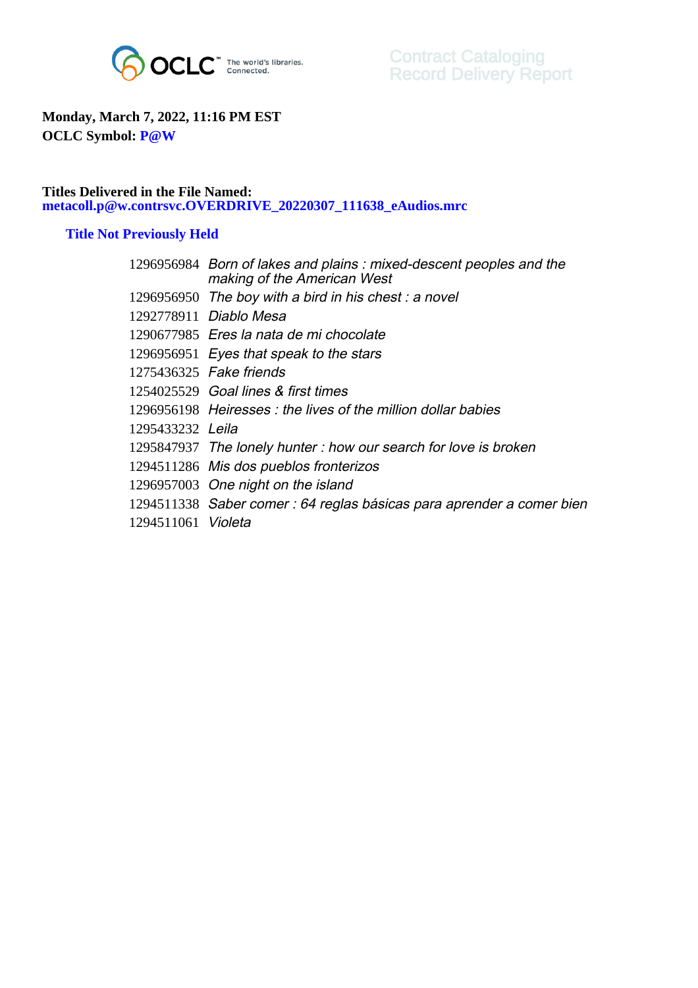

## **Monday, March 7, 2022, 11:16 PM EST OCLC Symbol: P@W**

## **Titles Delivered in the File Named: metacoll.p@w.contrsvc.OVERDRIVE\_20220307\_111638\_eAudios.mrc**

## **Title Not Previously Held**

|                           | 1296956984 Born of lakes and plains: mixed-descent peoples and the<br>making of the American West |
|---------------------------|---------------------------------------------------------------------------------------------------|
|                           | 1296956950 The boy with a bird in his chest: a novel                                              |
|                           | 1292778911 Diablo Mesa                                                                            |
|                           | 1290677985 Eres la nata de mi chocolate                                                           |
|                           | 1296956951 Eyes that speak to the stars                                                           |
|                           | 1275436325 Fake friends                                                                           |
|                           | 1254025529 Goal lines & first times                                                               |
|                           | 1296956198 Heiresses: the lives of the million dollar babies                                      |
| 1295433232 Leila          |                                                                                                   |
|                           | 1295847937 The lonely hunter: how our search for love is broken                                   |
|                           | 1294511286 Mis dos pueblos fronterizos                                                            |
|                           | 1296957003 One night on the island                                                                |
|                           | 1294511338 Saber comer : 64 reglas básicas para aprender a comer bien                             |
| 1294511061 <i>Violeta</i> |                                                                                                   |
|                           |                                                                                                   |